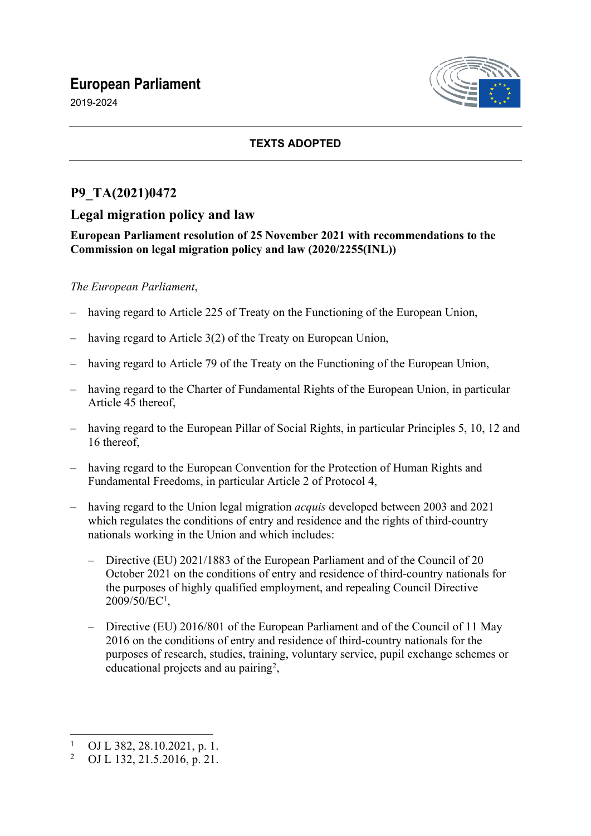# **European Parliament**

2019-2024



## **TEXTS ADOPTED**

# **P9\_TA(2021)0472**

# **Legal migration policy and law**

## **European Parliament resolution of 25 November 2021 with recommendations to the Commission on legal migration policy and law (2020/2255(INL))**

## *The European Parliament*,

- having regard to Article 225 of Treaty on the Functioning of the European Union,
- having regard to Article 3(2) of the Treaty on European Union,
- having regard to Article 79 of the Treaty on the Functioning of the European Union,
- having regard to the Charter of Fundamental Rights of the European Union, in particular Article 45 thereof,
- having regard to the European Pillar of Social Rights, in particular Principles 5, 10, 12 and 16 thereof,
- having regard to the European Convention for the Protection of Human Rights and Fundamental Freedoms, in particular Article 2 of Protocol 4,
- having regard to the Union legal migration *acquis* developed between 2003 and 2021 which regulates the conditions of entry and residence and the rights of third-country nationals working in the Union and which includes:
	- Directive (EU) 2021/1883 of the European Parliament and of the Council of 20 October 2021 on the conditions of entry and residence of third-country nationals for the purposes of highly qualified employment, and repealing Council Directive 2009/50/EC<sup>1</sup> ,
	- Directive (EU) 2016/801 of the European Parliament and of the Council of 11 May 2016 on the conditions of entry and residence of third-country nationals for the purposes of research, studies, training, voluntary service, pupil exchange schemes or educational projects and au pairing<sup>2</sup>,

<sup>1</sup> OJ L 382, 28.10.2021, p. 1.

<sup>2</sup> OJ L 132, 21.5.2016, p. 21.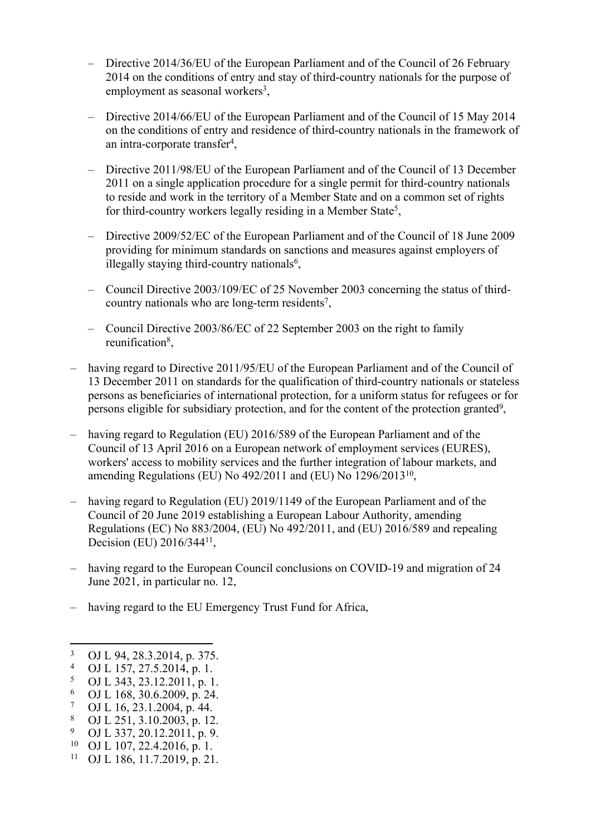- Directive 2014/36/EU of the European Parliament and of the Council of 26 February 2014 on the conditions of entry and stay of third-country nationals for the purpose of employment as seasonal workers<sup>3</sup>,
- Directive 2014/66/EU of the European Parliament and of the Council of 15 May 2014 on the conditions of entry and residence of third-country nationals in the framework of an intra-corporate transfer<sup>4</sup> ,
- Directive 2011/98/EU of the European Parliament and of the Council of 13 December 2011 on a single application procedure for a single permit for third-country nationals to reside and work in the territory of a Member State and on a common set of rights for third-country workers legally residing in a Member State<sup>5</sup>,
- Directive 2009/52/EC of the European Parliament and of the Council of 18 June 2009 providing for minimum standards on sanctions and measures against employers of illegally staying third-country nationals<sup>6</sup>,
- Council Directive 2003/109/EC of 25 November 2003 concerning the status of thirdcountry nationals who are long-term residents<sup>7</sup>,
- Council Directive 2003/86/EC of 22 September 2003 on the right to family reunification<sup>8</sup>,
- having regard to Directive 2011/95/EU of the European Parliament and of the Council of 13 December 2011 on standards for the qualification of third-country nationals or stateless persons as beneficiaries of international protection, for a uniform status for refugees or for persons eligible for subsidiary protection, and for the content of the protection granted<sup>9</sup>,
- having regard to Regulation (EU) 2016/589 of the European Parliament and of the Council of 13 April 2016 on a European network of employment services (EURES), workers' access to mobility services and the further integration of labour markets, and amending Regulations (EU) No 492/2011 and (EU) No 1296/2013<sup>10</sup> ,
- having regard to Regulation (EU) 2019/1149 of the European Parliament and of the Council of 20 June 2019 establishing a European Labour Authority, amending Regulations (EC) No 883/2004, (EU) No 492/2011, and (EU) 2016/589 and repealing Decision (EU) 2016/344<sup>11</sup>,
- having regard to the European Council conclusions on COVID-19 and migration of 24 June 2021, in particular no. 12,
- having regard to the EU Emergency Trust Fund for Africa,

<sup>10</sup> OJ L 107, 22.4.2016, p. 1.

<sup>3</sup> OJ L 94, 28.3.2014, p. 375.

<sup>4</sup> OJ L 157, 27.5.2014, p. 1.

<sup>5</sup> OJ L 343, 23.12.2011, p. 1.

<sup>6</sup> OJ L 168, 30.6.2009, p. 24.

<sup>7</sup> OJ L 16, 23.1.2004, p. 44.

<sup>8</sup> OJ L 251, 3.10.2003, p. 12.

<sup>9</sup>  $^{9}$  OJ L 337, 20.12.2011, p. 9.<br><sup>10</sup> OJ L 107 22 4 2016 p. 1

<sup>11</sup> OJ L 186, 11.7.2019, p. 21.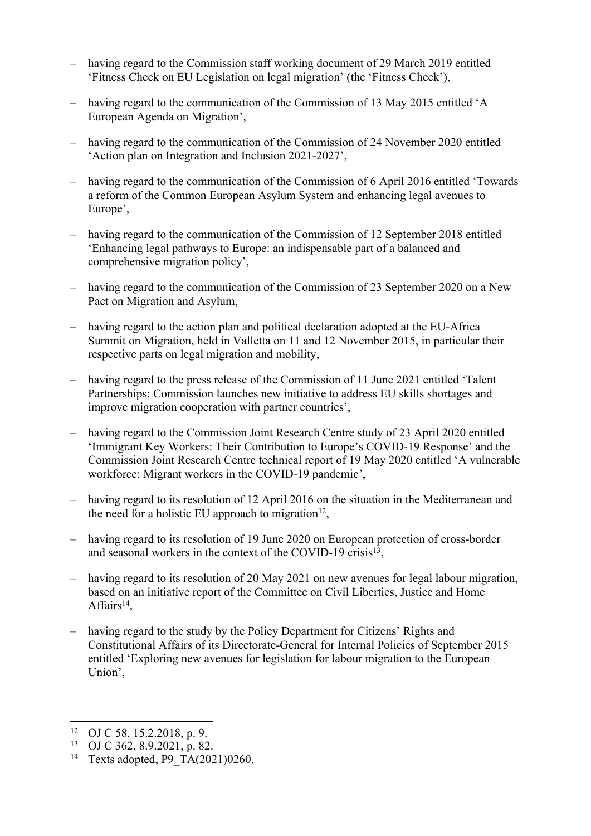- having regard to the Commission staff working document of 29 March 2019 entitled 'Fitness Check on EU Legislation on legal migration' (the 'Fitness Check'),
- having regard to the communication of the Commission of 13 May 2015 entitled 'A European Agenda on Migration',
- having regard to the communication of the Commission of 24 November 2020 entitled 'Action plan on Integration and Inclusion 2021-2027',
- having regard to the communication of the Commission of 6 April 2016 entitled 'Towards a reform of the Common European Asylum System and enhancing legal avenues to Europe',
- having regard to the communication of the Commission of 12 September 2018 entitled 'Enhancing legal pathways to Europe: an indispensable part of a balanced and comprehensive migration policy',
- having regard to the communication of the Commission of 23 September 2020 on a New Pact on Migration and Asylum,
- having regard to the action plan and political declaration adopted at the EU-Africa Summit on Migration, held in Valletta on 11 and 12 November 2015, in particular their respective parts on legal migration and mobility,
- having regard to the press release of the Commission of 11 June 2021 entitled 'Talent Partnerships: Commission launches new initiative to address EU skills shortages and improve migration cooperation with partner countries',
- having regard to the Commission Joint Research Centre study of 23 April 2020 entitled 'Immigrant Key Workers: Their Contribution to Europe's COVID-19 Response' and the Commission Joint Research Centre technical report of 19 May 2020 entitled 'A vulnerable workforce: Migrant workers in the COVID-19 pandemic',
- having regard to its resolution of 12 April 2016 on the situation in the Mediterranean and the need for a holistic EU approach to migration<sup>12</sup>,
- having regard to its resolution of 19 June 2020 on European protection of cross-border and seasonal workers in the context of the COVID-19 crisis<sup>13</sup>,
- having regard to its resolution of 20 May 2021 on new avenues for legal labour migration, based on an initiative report of the Committee on Civil Liberties, Justice and Home Affairs<sup>14</sup>,
- having regard to the study by the Policy Department for Citizens' Rights and Constitutional Affairs of its Directorate-General for Internal Policies of September 2015 entitled 'Exploring new avenues for legislation for labour migration to the European Union',

<sup>12</sup> OJ C 58, 15.2.2018, p. 9.

<sup>13</sup> OJ C 362, 8.9.2021, p. 82.

<sup>&</sup>lt;sup>14</sup> Texts adopted, P9 TA(2021)0260.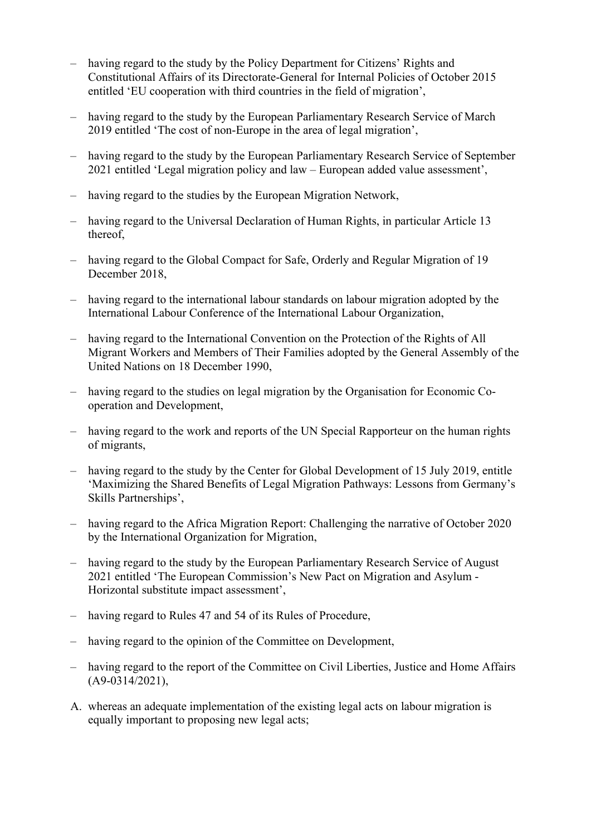- having regard to the study by the Policy Department for Citizens' Rights and Constitutional Affairs of its Directorate-General for Internal Policies of October 2015 entitled 'EU cooperation with third countries in the field of migration',
- having regard to the study by the European Parliamentary Research Service of March 2019 entitled 'The cost of non-Europe in the area of legal migration',
- having regard to the study by the European Parliamentary Research Service of September 2021 entitled 'Legal migration policy and law – European added value assessment',
- having regard to the studies by the European Migration Network.
- having regard to the Universal Declaration of Human Rights, in particular Article 13 thereof
- having regard to the Global Compact for Safe, Orderly and Regular Migration of 19 December 2018,
- having regard to the international labour standards on labour migration adopted by the International Labour Conference of the International Labour Organization,
- having regard to the International Convention on the Protection of the Rights of All Migrant Workers and Members of Their Families adopted by the General Assembly of the United Nations on 18 December 1990,
- having regard to the studies on legal migration by the Organisation for Economic Cooperation and Development,
- having regard to the work and reports of the UN Special Rapporteur on the human rights of migrants,
- having regard to the study by the Center for Global Development of 15 July 2019, entitle 'Maximizing the Shared Benefits of Legal Migration Pathways: Lessons from Germany's Skills Partnerships',
- having regard to the Africa Migration Report: Challenging the narrative of October 2020 by the International Organization for Migration,
- having regard to the study by the European Parliamentary Research Service of August 2021 entitled 'The European Commission's New Pact on Migration and Asylum - Horizontal substitute impact assessment',
- having regard to Rules 47 and 54 of its Rules of Procedure.
- having regard to the opinion of the Committee on Development,
- having regard to the report of the Committee on Civil Liberties, Justice and Home Affairs (A9-0314/2021),
- A. whereas an adequate implementation of the existing legal acts on labour migration is equally important to proposing new legal acts;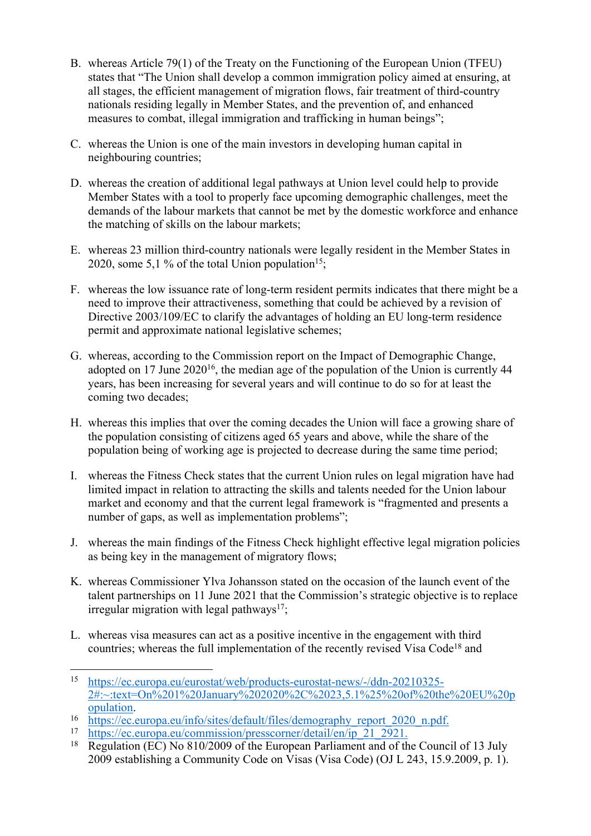- B. whereas Article 79(1) of the Treaty on the Functioning of the European Union (TFEU) states that "The Union shall develop a common immigration policy aimed at ensuring, at all stages, the efficient management of migration flows, fair treatment of third-country nationals residing legally in Member States, and the prevention of, and enhanced measures to combat, illegal immigration and trafficking in human beings";
- C. whereas the Union is one of the main investors in developing human capital in neighbouring countries;
- D. whereas the creation of additional legal pathways at Union level could help to provide Member States with a tool to properly face upcoming demographic challenges, meet the demands of the labour markets that cannot be met by the domestic workforce and enhance the matching of skills on the labour markets;
- E. whereas 23 million third-country nationals were legally resident in the Member States in 2020, some 5,1 % of the total Union population<sup>15</sup>;
- F. whereas the low issuance rate of long-term resident permits indicates that there might be a need to improve their attractiveness, something that could be achieved by a revision of Directive 2003/109/EC to clarify the advantages of holding an EU long-term residence permit and approximate national legislative schemes;
- G. whereas, according to the Commission report on the Impact of Demographic Change, adopted on 17 June 2020<sup>16</sup>, the median age of the population of the Union is currently 44 years, has been increasing for several years and will continue to do so for at least the coming two decades;
- H. whereas this implies that over the coming decades the Union will face a growing share of the population consisting of citizens aged 65 years and above, while the share of the population being of working age is projected to decrease during the same time period;
- I. whereas the Fitness Check states that the current Union rules on legal migration have had limited impact in relation to attracting the skills and talents needed for the Union labour market and economy and that the current legal framework is "fragmented and presents a number of gaps, as well as implementation problems";
- J. whereas the main findings of the Fitness Check highlight effective legal migration policies as being key in the management of migratory flows;
- K. whereas Commissioner Ylva Johansson stated on the occasion of the launch event of the talent partnerships on 11 June 2021 that the Commission's strategic objective is to replace irregular migration with legal pathways<sup>17</sup>;
- L. whereas visa measures can act as a positive incentive in the engagement with third countries; whereas the full implementation of the recently revised Visa Code<sup>18</sup> and

<sup>15</sup> [https://ec.europa.eu/eurostat/web/products-eurostat-news/-/ddn-20210325-](https://ec.europa.eu/eurostat/web/products-eurostat-news/-/ddn-20210325-2#:~:text=On%201%20January%202020%2C%2023,5.1%25%20of%20the%20EU%20population) [2#:~:text=On%201%20January%202020%2C%2023,5.1%25%20of%20the%20EU%20p](https://ec.europa.eu/eurostat/web/products-eurostat-news/-/ddn-20210325-2#:~:text=On%201%20January%202020%2C%2023,5.1%25%20of%20the%20EU%20population) [opulation](https://ec.europa.eu/eurostat/web/products-eurostat-news/-/ddn-20210325-2#:~:text=On%201%20January%202020%2C%2023,5.1%25%20of%20the%20EU%20population).

 $\frac{16}{\text{https://ec.europa.eu/info/sites/default/files/demography\_report\_2020\_n.pdf}}$ 

<sup>&</sup>lt;sup>17</sup> [https://ec.europa.eu/commission/presscorner/detail/en/ip\\_21\\_2921](https://ec.europa.eu/commission/presscorner/detail/en/ip_21_2921).<br><sup>18</sup> Regulation (EC) No 810/2009 of the European Parliament and of th

Regulation (EC) No 810/2009 of the European Parliament and of the Council of 13 July 2009 establishing a Community Code on Visas (Visa Code) (OJ L 243, 15.9.2009, p. 1).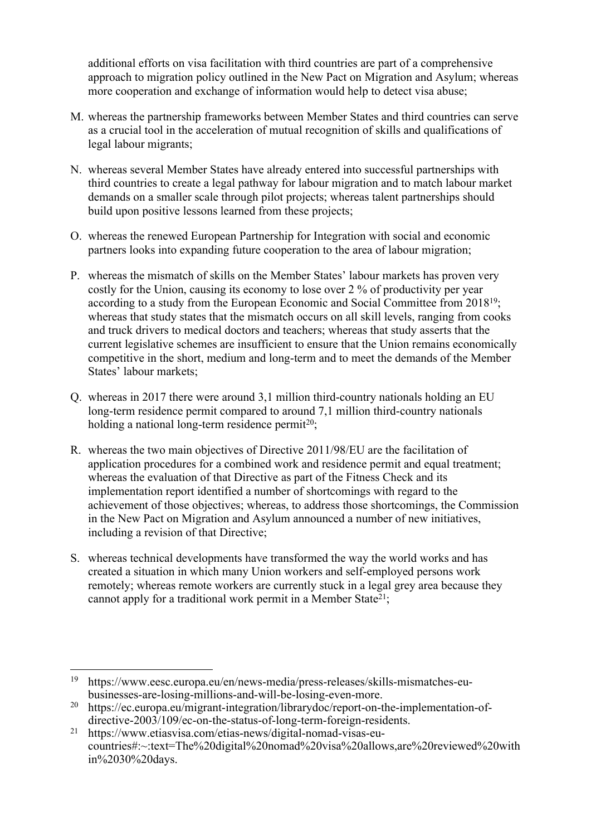additional efforts on visa facilitation with third countries are part of a comprehensive approach to migration policy outlined in the New Pact on Migration and Asylum; whereas more cooperation and exchange of information would help to detect visa abuse;

- M. whereas the partnership frameworks between Member States and third countries can serve as a crucial tool in the acceleration of mutual recognition of skills and qualifications of legal labour migrants;
- N. whereas several Member States have already entered into successful partnerships with third countries to create a legal pathway for labour migration and to match labour market demands on a smaller scale through pilot projects; whereas talent partnerships should build upon positive lessons learned from these projects;
- O. whereas the renewed European Partnership for Integration with social and economic partners looks into expanding future cooperation to the area of labour migration;
- P. whereas the mismatch of skills on the Member States' labour markets has proven very costly for the Union, causing its economy to lose over 2 % of productivity per year according to a study from the European Economic and Social Committee from 2018<sup>19</sup>; whereas that study states that the mismatch occurs on all skill levels, ranging from cooks and truck drivers to medical doctors and teachers; whereas that study asserts that the current legislative schemes are insufficient to ensure that the Union remains economically competitive in the short, medium and long-term and to meet the demands of the Member States' labour markets;
- Q. whereas in 2017 there were around 3,1 million third-country nationals holding an EU long-term residence permit compared to around 7,1 million third-country nationals holding a national long-term residence permit<sup>20</sup>;
- R. whereas the two main objectives of Directive 2011/98/EU are the facilitation of application procedures for a combined work and residence permit and equal treatment; whereas the evaluation of that Directive as part of the Fitness Check and its implementation report identified a number of shortcomings with regard to the achievement of those objectives; whereas, to address those shortcomings, the Commission in the New Pact on Migration and Asylum announced a number of new initiatives, including a revision of that Directive;
- S. whereas technical developments have transformed the way the world works and has created a situation in which many Union workers and self-employed persons work remotely; whereas remote workers are currently stuck in a legal grey area because they cannot apply for a traditional work permit in a Member State<sup>21</sup>;

<sup>19</sup> https://www.eesc.europa.eu/en/news-media/press-releases/skills-mismatches-eubusinesses-are-losing-millions-and-will-be-losing-even-more.

<sup>&</sup>lt;sup>20</sup> https://ec.europa.eu/migrant-integration/librarydoc/report-on-the-implementation-ofdirective-2003/109/ec-on-the-status-of-long-term-foreign-residents.

<sup>21</sup> https://www.etiasvisa.com/etias-news/digital-nomad-visas-eucountries#:~:text=The%20digital%20nomad%20visa%20allows,are%20reviewed%20with in%2030%20days.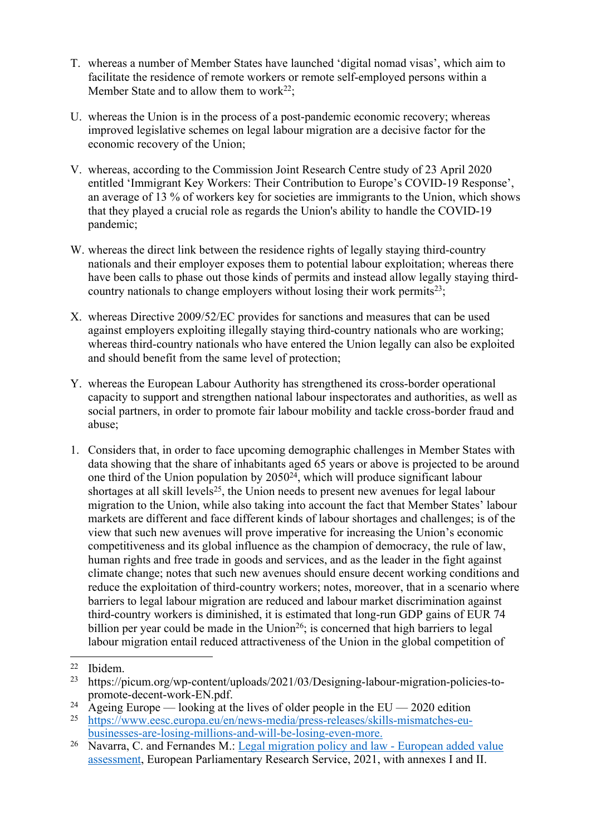- T. whereas a number of Member States have launched 'digital nomad visas', which aim to facilitate the residence of remote workers or remote self-employed persons within a Member State and to allow them to work<sup>22</sup>;
- U. whereas the Union is in the process of a post-pandemic economic recovery; whereas improved legislative schemes on legal labour migration are a decisive factor for the economic recovery of the Union;
- V. whereas, according to the Commission Joint Research Centre study of 23 April 2020 entitled 'Immigrant Key Workers: Their Contribution to Europe's COVID-19 Response', an average of 13 % of workers key for societies are immigrants to the Union, which shows that they played a crucial role as regards the Union's ability to handle the COVID-19 pandemic;
- W. whereas the direct link between the residence rights of legally staying third-country nationals and their employer exposes them to potential labour exploitation; whereas there have been calls to phase out those kinds of permits and instead allow legally staying thirdcountry nationals to change employers without losing their work permits<sup>23</sup>;
- X. whereas Directive 2009/52/EC provides for sanctions and measures that can be used against employers exploiting illegally staying third-country nationals who are working; whereas third-country nationals who have entered the Union legally can also be exploited and should benefit from the same level of protection;
- Y. whereas the European Labour Authority has strengthened its cross-border operational capacity to support and strengthen national labour inspectorates and authorities, as well as social partners, in order to promote fair labour mobility and tackle cross-border fraud and abuse;
- 1. Considers that, in order to face upcoming demographic challenges in Member States with data showing that the share of inhabitants aged 65 years or above is projected to be around one third of the Union population by 2050<sup>24</sup>, which will produce significant labour shortages at all skill levels<sup>25</sup>, the Union needs to present new avenues for legal labour migration to the Union, while also taking into account the fact that Member States' labour markets are different and face different kinds of labour shortages and challenges; is of the view that such new avenues will prove imperative for increasing the Union's economic competitiveness and its global influence as the champion of democracy, the rule of law, human rights and free trade in goods and services, and as the leader in the fight against climate change; notes that such new avenues should ensure decent working conditions and reduce the exploitation of third-country workers; notes, moreover, that in a scenario where barriers to legal labour migration are reduced and labour market discrimination against third-country workers is diminished, it is estimated that long-run GDP gains of EUR 74 billion per year could be made in the Union<sup>26</sup>; is concerned that high barriers to legal labour migration entail reduced attractiveness of the Union in the global competition of

<sup>&</sup>lt;sup>22</sup> Ibidem.<br><sup>23</sup> https://n

<sup>23</sup> https://picum.org/wp-content/uploads/2021/03/Designing-labour-migration-policies-topromote-decent-work-EN.pdf.

<sup>&</sup>lt;sup>24</sup> Ageing Europe — looking at the lives of older people in the EU — 2020 edition<br><sup>25</sup> https://www.eesc.europa.eu/en/news-media/press-releases/skills-mismatches-eu-

<sup>25</sup> [https://www.eesc.europa.eu/en/news-media/press-releases/skills-mismatches-eu](https://www.eesc.europa.eu/en/news-media/press-releases/skills-mismatches-eu-businesses-are-losing-millions-and-will-be-losing-even-more)[businesses-are-losing-millions-and-will-be-losing-even-more.](https://www.eesc.europa.eu/en/news-media/press-releases/skills-mismatches-eu-businesses-are-losing-millions-and-will-be-losing-even-more)

<sup>26</sup> Navarra, C. and Fernandes M.: [Legal migration policy and law](https://www.europarl.europa.eu/thinktank/en/document.html?reference=EPRS_STU(2021)694211) - European added value assessment, European Parliamentary Research Service, 2021, with annexes I and II.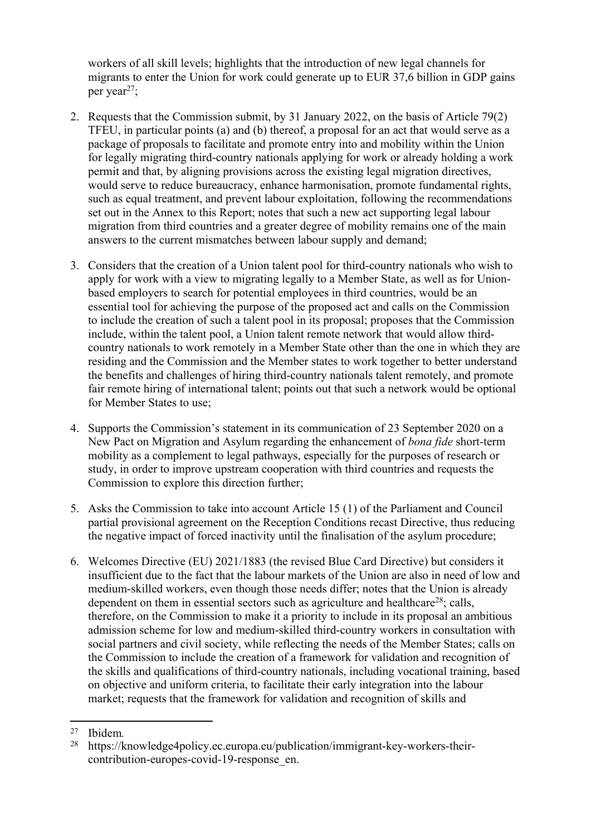workers of all skill levels; highlights that the introduction of new legal channels for migrants to enter the Union for work could generate up to EUR 37,6 billion in GDP gains per year<sup>27</sup>;

- 2. Requests that the Commission submit, by 31 January 2022, on the basis of Article 79(2) TFEU, in particular points (a) and (b) thereof, a proposal for an act that would serve as a package of proposals to facilitate and promote entry into and mobility within the Union for legally migrating third-country nationals applying for work or already holding a work permit and that, by aligning provisions across the existing legal migration directives, would serve to reduce bureaucracy, enhance harmonisation, promote fundamental rights, such as equal treatment, and prevent labour exploitation, following the recommendations set out in the Annex to this Report; notes that such a new act supporting legal labour migration from third countries and a greater degree of mobility remains one of the main answers to the current mismatches between labour supply and demand;
- 3. Considers that the creation of a Union talent pool for third-country nationals who wish to apply for work with a view to migrating legally to a Member State, as well as for Unionbased employers to search for potential employees in third countries, would be an essential tool for achieving the purpose of the proposed act and calls on the Commission to include the creation of such a talent pool in its proposal; proposes that the Commission include, within the talent pool, a Union talent remote network that would allow thirdcountry nationals to work remotely in a Member State other than the one in which they are residing and the Commission and the Member states to work together to better understand the benefits and challenges of hiring third-country nationals talent remotely, and promote fair remote hiring of international talent; points out that such a network would be optional for Member States to use;
- 4. Supports the Commission's statement in its communication of 23 September 2020 on a New Pact on Migration and Asylum regarding the enhancement of *bona fide* short-term mobility as a complement to legal pathways, especially for the purposes of research or study, in order to improve upstream cooperation with third countries and requests the Commission to explore this direction further;
- 5. Asks the Commission to take into account Article 15 (1) of the Parliament and Council partial provisional agreement on the Reception Conditions recast Directive, thus reducing the negative impact of forced inactivity until the finalisation of the asylum procedure;
- 6. Welcomes Directive (EU) 2021/1883 (the revised Blue Card Directive) but considers it insufficient due to the fact that the labour markets of the Union are also in need of low and medium-skilled workers, even though those needs differ; notes that the Union is already dependent on them in essential sectors such as agriculture and healthcare<sup>28</sup>; calls, therefore, on the Commission to make it a priority to include in its proposal an ambitious admission scheme for low and medium-skilled third-country workers in consultation with social partners and civil society, while reflecting the needs of the Member States; calls on the Commission to include the creation of a framework for validation and recognition of the skills and qualifications of third-country nationals, including vocational training, based on objective and uniform criteria, to facilitate their early integration into the labour market; requests that the framework for validation and recognition of skills and

<sup>27</sup> Ibidem*.*

https://knowledge4policy.ec.europa.eu/publication/immigrant-key-workers-theircontribution-europes-covid-19-response\_en.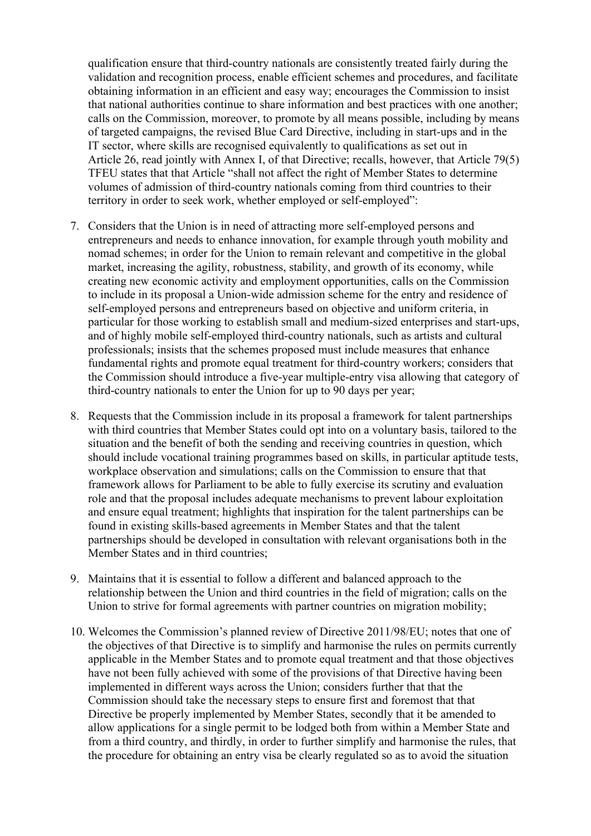qualification ensure that third-country nationals are consistently treated fairly during the validation and recognition process, enable efficient schemes and procedures, and facilitate obtaining information in an efficient and easy way; encourages the Commission to insist that national authorities continue to share information and best practices with one another; calls on the Commission, moreover, to promote by all means possible, including by means of targeted campaigns, the revised Blue Card Directive, including in start-ups and in the IT sector, where skills are recognised equivalently to qualifications as set out in Article 26, read jointly with Annex I, of that Directive; recalls, however, that Article 79(5) TFEU states that that Article "shall not affect the right of Member States to determine volumes of admission of third-country nationals coming from third countries to their territory in order to seek work, whether employed or self-employed":

- 7. Considers that the Union is in need of attracting more self-employed persons and entrepreneurs and needs to enhance innovation, for example through youth mobility and nomad schemes; in order for the Union to remain relevant and competitive in the global market, increasing the agility, robustness, stability, and growth of its economy, while creating new economic activity and employment opportunities, calls on the Commission to include in its proposal a Union-wide admission scheme for the entry and residence of self-employed persons and entrepreneurs based on objective and uniform criteria, in particular for those working to establish small and medium-sized enterprises and start-ups, and of highly mobile self-employed third-country nationals, such as artists and cultural professionals; insists that the schemes proposed must include measures that enhance fundamental rights and promote equal treatment for third-country workers; considers that the Commission should introduce a five-year multiple-entry visa allowing that category of third-country nationals to enter the Union for up to 90 days per year;
- 8. Requests that the Commission include in its proposal a framework for talent partnerships with third countries that Member States could opt into on a voluntary basis, tailored to the situation and the benefit of both the sending and receiving countries in question, which should include vocational training programmes based on skills, in particular aptitude tests, workplace observation and simulations; calls on the Commission to ensure that that framework allows for Parliament to be able to fully exercise its scrutiny and evaluation role and that the proposal includes adequate mechanisms to prevent labour exploitation and ensure equal treatment; highlights that inspiration for the talent partnerships can be found in existing skills-based agreements in Member States and that the talent partnerships should be developed in consultation with relevant organisations both in the Member States and in third countries;
- 9. Maintains that it is essential to follow a different and balanced approach to the relationship between the Union and third countries in the field of migration; calls on the Union to strive for formal agreements with partner countries on migration mobility;
- 10. Welcomes the Commission's planned review of Directive 2011/98/EU; notes that one of the objectives of that Directive is to simplify and harmonise the rules on permits currently applicable in the Member States and to promote equal treatment and that those objectives have not been fully achieved with some of the provisions of that Directive having been implemented in different ways across the Union; considers further that that the Commission should take the necessary steps to ensure first and foremost that that Directive be properly implemented by Member States, secondly that it be amended to allow applications for a single permit to be lodged both from within a Member State and from a third country, and thirdly, in order to further simplify and harmonise the rules, that the procedure for obtaining an entry visa be clearly regulated so as to avoid the situation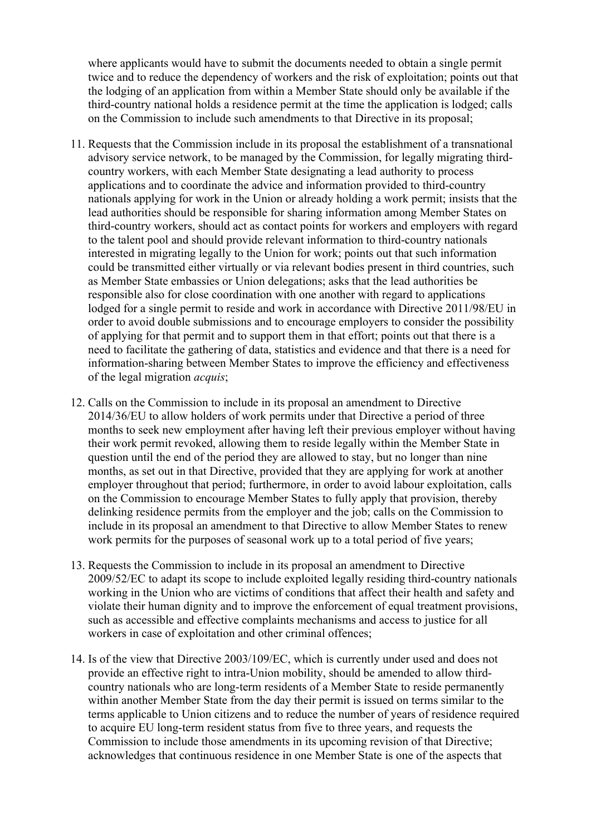where applicants would have to submit the documents needed to obtain a single permit twice and to reduce the dependency of workers and the risk of exploitation; points out that the lodging of an application from within a Member State should only be available if the third-country national holds a residence permit at the time the application is lodged; calls on the Commission to include such amendments to that Directive in its proposal;

- 11. Requests that the Commission include in its proposal the establishment of a transnational advisory service network, to be managed by the Commission, for legally migrating thirdcountry workers, with each Member State designating a lead authority to process applications and to coordinate the advice and information provided to third-country nationals applying for work in the Union or already holding a work permit; insists that the lead authorities should be responsible for sharing information among Member States on third-country workers, should act as contact points for workers and employers with regard to the talent pool and should provide relevant information to third-country nationals interested in migrating legally to the Union for work; points out that such information could be transmitted either virtually or via relevant bodies present in third countries, such as Member State embassies or Union delegations; asks that the lead authorities be responsible also for close coordination with one another with regard to applications lodged for a single permit to reside and work in accordance with Directive 2011/98/EU in order to avoid double submissions and to encourage employers to consider the possibility of applying for that permit and to support them in that effort; points out that there is a need to facilitate the gathering of data, statistics and evidence and that there is a need for information-sharing between Member States to improve the efficiency and effectiveness of the legal migration *acquis*;
- 12. Calls on the Commission to include in its proposal an amendment to Directive 2014/36/EU to allow holders of work permits under that Directive a period of three months to seek new employment after having left their previous employer without having their work permit revoked, allowing them to reside legally within the Member State in question until the end of the period they are allowed to stay, but no longer than nine months, as set out in that Directive, provided that they are applying for work at another employer throughout that period; furthermore, in order to avoid labour exploitation, calls on the Commission to encourage Member States to fully apply that provision, thereby delinking residence permits from the employer and the job; calls on the Commission to include in its proposal an amendment to that Directive to allow Member States to renew work permits for the purposes of seasonal work up to a total period of five years;
- 13. Requests the Commission to include in its proposal an amendment to Directive 2009/52/EC to adapt its scope to include exploited legally residing third-country nationals working in the Union who are victims of conditions that affect their health and safety and violate their human dignity and to improve the enforcement of equal treatment provisions, such as accessible and effective complaints mechanisms and access to justice for all workers in case of exploitation and other criminal offences;
- 14. Is of the view that Directive 2003/109/EC, which is currently under used and does not provide an effective right to intra-Union mobility, should be amended to allow thirdcountry nationals who are long-term residents of a Member State to reside permanently within another Member State from the day their permit is issued on terms similar to the terms applicable to Union citizens and to reduce the number of years of residence required to acquire EU long-term resident status from five to three years, and requests the Commission to include those amendments in its upcoming revision of that Directive; acknowledges that continuous residence in one Member State is one of the aspects that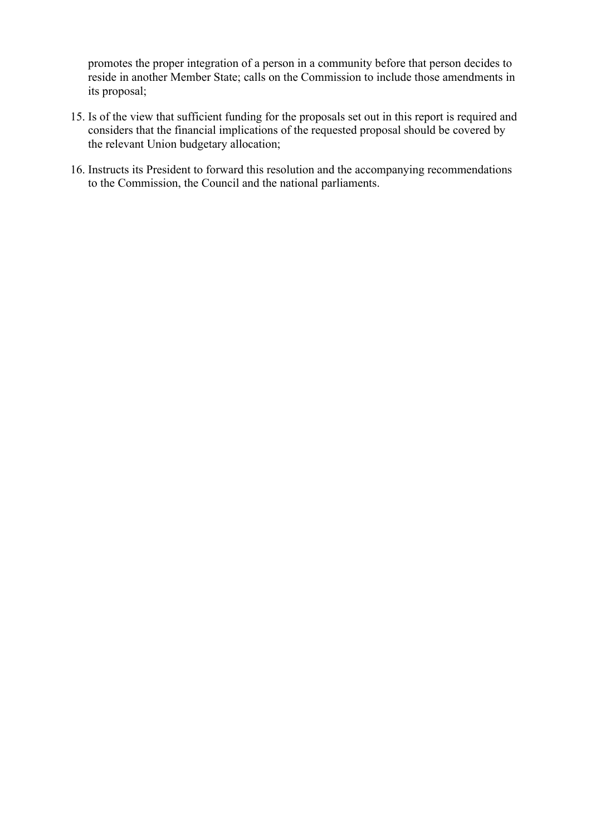promotes the proper integration of a person in a community before that person decides to reside in another Member State; calls on the Commission to include those amendments in its proposal;

- 15. Is of the view that sufficient funding for the proposals set out in this report is required and considers that the financial implications of the requested proposal should be covered by the relevant Union budgetary allocation;
- 16. Instructs its President to forward this resolution and the accompanying recommendations to the Commission, the Council and the national parliaments.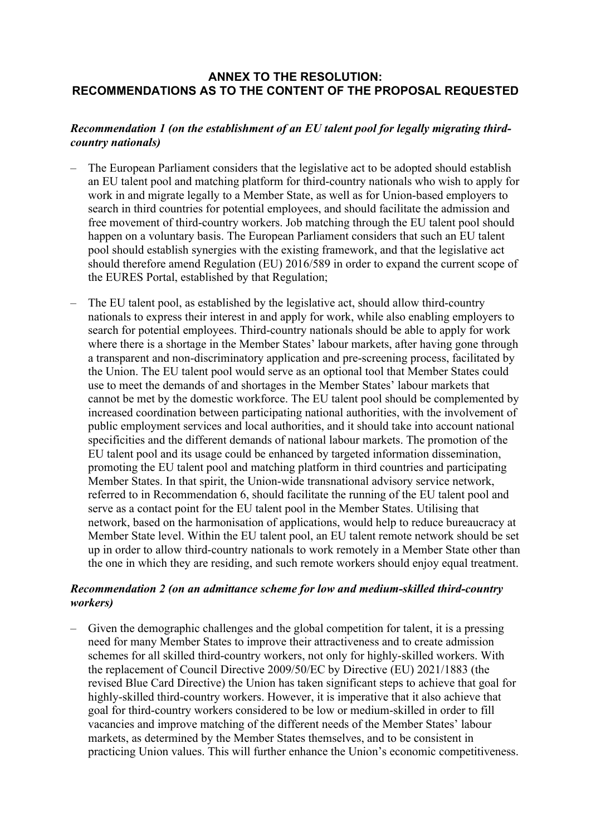### **ANNEX TO THE RESOLUTION: RECOMMENDATIONS AS TO THE CONTENT OF THE PROPOSAL REQUESTED**

#### *Recommendation 1 (on the establishment of an EU talent pool for legally migrating thirdcountry nationals)*

- The European Parliament considers that the legislative act to be adopted should establish an EU talent pool and matching platform for third-country nationals who wish to apply for work in and migrate legally to a Member State, as well as for Union-based employers to search in third countries for potential employees, and should facilitate the admission and free movement of third-country workers. Job matching through the EU talent pool should happen on a voluntary basis. The European Parliament considers that such an EU talent pool should establish synergies with the existing framework, and that the legislative act should therefore amend Regulation (EU) 2016/589 in order to expand the current scope of the EURES Portal, established by that Regulation;
- The EU talent pool, as established by the legislative act, should allow third-country nationals to express their interest in and apply for work, while also enabling employers to search for potential employees. Third-country nationals should be able to apply for work where there is a shortage in the Member States' labour markets, after having gone through a transparent and non-discriminatory application and pre-screening process, facilitated by the Union. The EU talent pool would serve as an optional tool that Member States could use to meet the demands of and shortages in the Member States' labour markets that cannot be met by the domestic workforce. The EU talent pool should be complemented by increased coordination between participating national authorities, with the involvement of public employment services and local authorities, and it should take into account national specificities and the different demands of national labour markets. The promotion of the EU talent pool and its usage could be enhanced by targeted information dissemination, promoting the EU talent pool and matching platform in third countries and participating Member States. In that spirit, the Union-wide transnational advisory service network, referred to in Recommendation 6, should facilitate the running of the EU talent pool and serve as a contact point for the EU talent pool in the Member States. Utilising that network, based on the harmonisation of applications, would help to reduce bureaucracy at Member State level. Within the EU talent pool, an EU talent remote network should be set up in order to allow third-country nationals to work remotely in a Member State other than the one in which they are residing, and such remote workers should enjoy equal treatment.

### *Recommendation 2 (on an admittance scheme for low and medium-skilled third-country workers)*

– Given the demographic challenges and the global competition for talent, it is a pressing need for many Member States to improve their attractiveness and to create admission schemes for all skilled third-country workers, not only for highly-skilled workers. With the replacement of Council Directive 2009/50/EC by Directive (EU) 2021/1883 (the revised Blue Card Directive) the Union has taken significant steps to achieve that goal for highly-skilled third-country workers. However, it is imperative that it also achieve that goal for third-country workers considered to be low or medium-skilled in order to fill vacancies and improve matching of the different needs of the Member States' labour markets, as determined by the Member States themselves, and to be consistent in practicing Union values. This will further enhance the Union's economic competitiveness.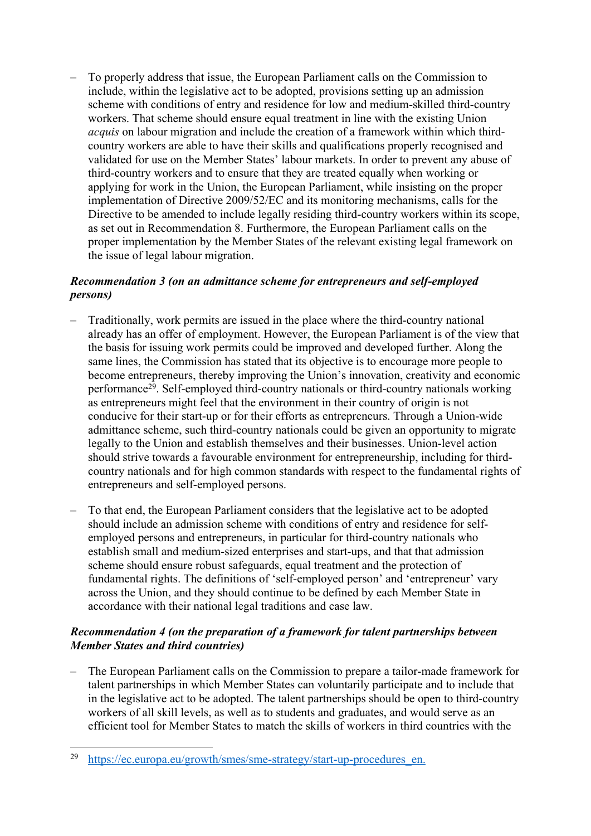– To properly address that issue, the European Parliament calls on the Commission to include, within the legislative act to be adopted, provisions setting up an admission scheme with conditions of entry and residence for low and medium-skilled third-country workers. That scheme should ensure equal treatment in line with the existing Union *acquis* on labour migration and include the creation of a framework within which thirdcountry workers are able to have their skills and qualifications properly recognised and validated for use on the Member States' labour markets. In order to prevent any abuse of third-country workers and to ensure that they are treated equally when working or applying for work in the Union, the European Parliament, while insisting on the proper implementation of Directive 2009/52/EC and its monitoring mechanisms, calls for the Directive to be amended to include legally residing third-country workers within its scope, as set out in Recommendation 8. Furthermore, the European Parliament calls on the proper implementation by the Member States of the relevant existing legal framework on the issue of legal labour migration.

## *Recommendation 3 (on an admittance scheme for entrepreneurs and self-employed persons)*

- Traditionally, work permits are issued in the place where the third-country national already has an offer of employment. However, the European Parliament is of the view that the basis for issuing work permits could be improved and developed further. Along the same lines, the Commission has stated that its objective is to encourage more people to become entrepreneurs, thereby improving the Union's innovation, creativity and economic performance<sup>29</sup>. Self-employed third-country nationals or third-country nationals working as entrepreneurs might feel that the environment in their country of origin is not conducive for their start-up or for their efforts as entrepreneurs. Through a Union-wide admittance scheme, such third-country nationals could be given an opportunity to migrate legally to the Union and establish themselves and their businesses. Union-level action should strive towards a favourable environment for entrepreneurship, including for thirdcountry nationals and for high common standards with respect to the fundamental rights of entrepreneurs and self-employed persons.
- To that end, the European Parliament considers that the legislative act to be adopted should include an admission scheme with conditions of entry and residence for selfemployed persons and entrepreneurs, in particular for third-country nationals who establish small and medium-sized enterprises and start-ups, and that that admission scheme should ensure robust safeguards, equal treatment and the protection of fundamental rights. The definitions of 'self-employed person' and 'entrepreneur' vary across the Union, and they should continue to be defined by each Member State in accordance with their national legal traditions and case law.

## *Recommendation 4 (on the preparation of a framework for talent partnerships between Member States and third countries)*

– The European Parliament calls on the Commission to prepare a tailor-made framework for talent partnerships in which Member States can voluntarily participate and to include that in the legislative act to be adopted. The talent partnerships should be open to third-country workers of all skill levels, as well as to students and graduates, and would serve as an efficient tool for Member States to match the skills of workers in third countries with the

<sup>29</sup> [https://ec.europa.eu/growth/smes/sme-strategy/start-up-procedures\\_en.](https://ec.europa.eu/growth/smes/sme-strategy/start-up-procedures_en)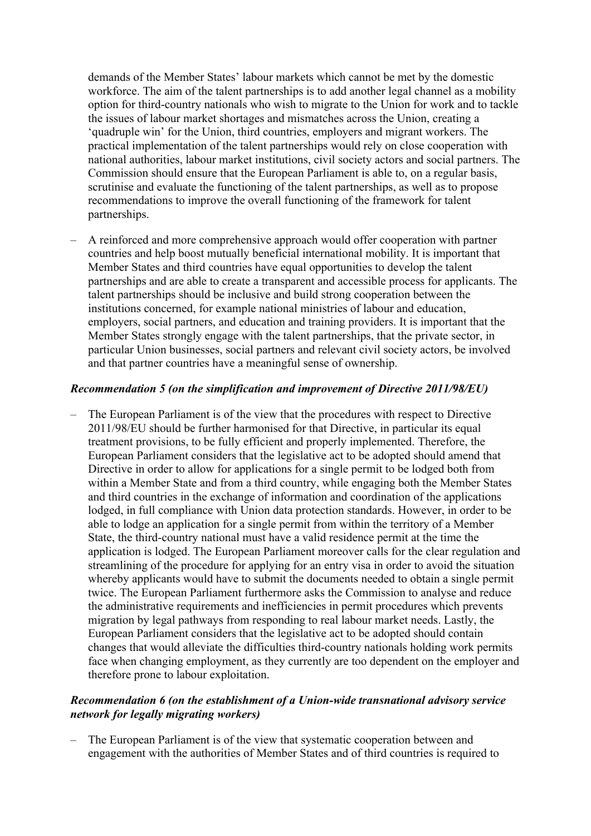demands of the Member States' labour markets which cannot be met by the domestic workforce. The aim of the talent partnerships is to add another legal channel as a mobility option for third-country nationals who wish to migrate to the Union for work and to tackle the issues of labour market shortages and mismatches across the Union, creating a 'quadruple win' for the Union, third countries, employers and migrant workers. The practical implementation of the talent partnerships would rely on close cooperation with national authorities, labour market institutions, civil society actors and social partners. The Commission should ensure that the European Parliament is able to, on a regular basis, scrutinise and evaluate the functioning of the talent partnerships, as well as to propose recommendations to improve the overall functioning of the framework for talent partnerships.

– A reinforced and more comprehensive approach would offer cooperation with partner countries and help boost mutually beneficial international mobility. It is important that Member States and third countries have equal opportunities to develop the talent partnerships and are able to create a transparent and accessible process for applicants. The talent partnerships should be inclusive and build strong cooperation between the institutions concerned, for example national ministries of labour and education, employers, social partners, and education and training providers. It is important that the Member States strongly engage with the talent partnerships, that the private sector, in particular Union businesses, social partners and relevant civil society actors, be involved and that partner countries have a meaningful sense of ownership.

#### *Recommendation 5 (on the simplification and improvement of Directive 2011/98/EU)*

– The European Parliament is of the view that the procedures with respect to Directive 2011/98/EU should be further harmonised for that Directive, in particular its equal treatment provisions, to be fully efficient and properly implemented. Therefore, the European Parliament considers that the legislative act to be adopted should amend that Directive in order to allow for applications for a single permit to be lodged both from within a Member State and from a third country, while engaging both the Member States and third countries in the exchange of information and coordination of the applications lodged, in full compliance with Union data protection standards. However, in order to be able to lodge an application for a single permit from within the territory of a Member State, the third-country national must have a valid residence permit at the time the application is lodged. The European Parliament moreover calls for the clear regulation and streamlining of the procedure for applying for an entry visa in order to avoid the situation whereby applicants would have to submit the documents needed to obtain a single permit twice. The European Parliament furthermore asks the Commission to analyse and reduce the administrative requirements and inefficiencies in permit procedures which prevents migration by legal pathways from responding to real labour market needs. Lastly, the European Parliament considers that the legislative act to be adopted should contain changes that would alleviate the difficulties third-country nationals holding work permits face when changing employment, as they currently are too dependent on the employer and therefore prone to labour exploitation.

#### *Recommendation 6 (on the establishment of a Union-wide transnational advisory service network for legally migrating workers)*

– The European Parliament is of the view that systematic cooperation between and engagement with the authorities of Member States and of third countries is required to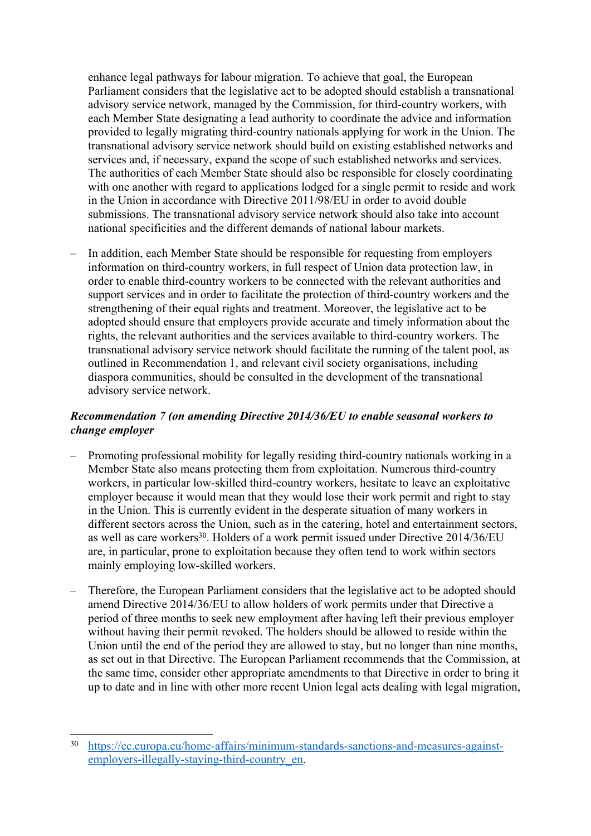enhance legal pathways for labour migration. To achieve that goal, the European Parliament considers that the legislative act to be adopted should establish a transnational advisory service network, managed by the Commission, for third-country workers, with each Member State designating a lead authority to coordinate the advice and information provided to legally migrating third-country nationals applying for work in the Union. The transnational advisory service network should build on existing established networks and services and, if necessary, expand the scope of such established networks and services. The authorities of each Member State should also be responsible for closely coordinating with one another with regard to applications lodged for a single permit to reside and work in the Union in accordance with Directive 2011/98/EU in order to avoid double submissions. The transnational advisory service network should also take into account national specificities and the different demands of national labour markets.

– In addition, each Member State should be responsible for requesting from employers information on third-country workers, in full respect of Union data protection law, in order to enable third-country workers to be connected with the relevant authorities and support services and in order to facilitate the protection of third-country workers and the strengthening of their equal rights and treatment. Moreover, the legislative act to be adopted should ensure that employers provide accurate and timely information about the rights, the relevant authorities and the services available to third-country workers. The transnational advisory service network should facilitate the running of the talent pool, as outlined in Recommendation 1, and relevant civil society organisations, including diaspora communities, should be consulted in the development of the transnational advisory service network.

### *Recommendation 7 (on amending Directive 2014/36/EU to enable seasonal workers to change employer*

- Promoting professional mobility for legally residing third-country nationals working in a Member State also means protecting them from exploitation. Numerous third-country workers, in particular low-skilled third-country workers, hesitate to leave an exploitative employer because it would mean that they would lose their work permit and right to stay in the Union. This is currently evident in the desperate situation of many workers in different sectors across the Union, such as in the catering, hotel and entertainment sectors, as well as care workers<sup>30</sup>. Holders of a work permit issued under Directive 2014/36/EU are, in particular, prone to exploitation because they often tend to work within sectors mainly employing low-skilled workers.
- Therefore, the European Parliament considers that the legislative act to be adopted should amend Directive 2014/36/EU to allow holders of work permits under that Directive a period of three months to seek new employment after having left their previous employer without having their permit revoked. The holders should be allowed to reside within the Union until the end of the period they are allowed to stay, but no longer than nine months, as set out in that Directive. The European Parliament recommends that the Commission, at the same time, consider other appropriate amendments to that Directive in order to bring it up to date and in line with other more recent Union legal acts dealing with legal migration,

<sup>30</sup> [https://ec.europa.eu/home-affairs/minimum-standards-sanctions-and-measures-against](https://ec.europa.eu/home-affairs/minimum-standards-sanctions-and-measures-against-employers-illegally-staying-third-country_en)[employers-illegally-staying-third-country\\_en](https://ec.europa.eu/home-affairs/minimum-standards-sanctions-and-measures-against-employers-illegally-staying-third-country_en).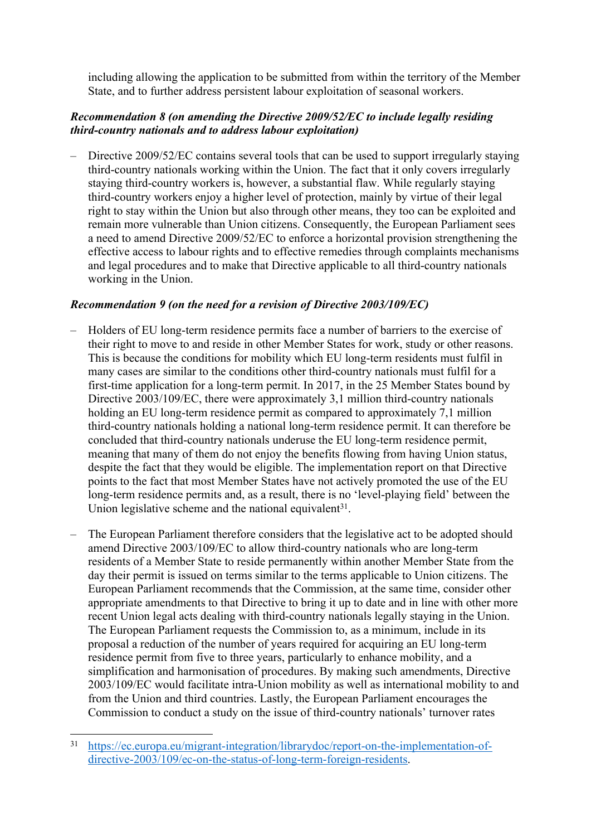including allowing the application to be submitted from within the territory of the Member State, and to further address persistent labour exploitation of seasonal workers.

### *Recommendation 8 (on amending the Directive 2009/52/EC to include legally residing third-country nationals and to address labour exploitation)*

– Directive 2009/52/EC contains several tools that can be used to support irregularly staying third-country nationals working within the Union. The fact that it only covers irregularly staying third-country workers is, however, a substantial flaw. While regularly staying third-country workers enjoy a higher level of protection, mainly by virtue of their legal right to stay within the Union but also through other means, they too can be exploited and remain more vulnerable than Union citizens. Consequently, the European Parliament sees a need to amend Directive 2009/52/EC to enforce a horizontal provision strengthening the effective access to labour rights and to effective remedies through complaints mechanisms and legal procedures and to make that Directive applicable to all third-country nationals working in the Union.

## *Recommendation 9 (on the need for a revision of Directive 2003/109/EC)*

- Holders of EU long-term residence permits face a number of barriers to the exercise of their right to move to and reside in other Member States for work, study or other reasons. This is because the conditions for mobility which EU long-term residents must fulfil in many cases are similar to the conditions other third-country nationals must fulfil for a first-time application for a long-term permit. In 2017, in the 25 Member States bound by Directive 2003/109/EC, there were approximately 3,1 million third-country nationals holding an EU long-term residence permit as compared to approximately 7,1 million third-country nationals holding a national long-term residence permit. It can therefore be concluded that third-country nationals underuse the EU long-term residence permit, meaning that many of them do not enjoy the benefits flowing from having Union status, despite the fact that they would be eligible. The implementation report on that Directive points to the fact that most Member States have not actively promoted the use of the EU long-term residence permits and, as a result, there is no 'level-playing field' between the Union legislative scheme and the national equivalent $31$ .
- The European Parliament therefore considers that the legislative act to be adopted should amend Directive 2003/109/EC to allow third-country nationals who are long-term residents of a Member State to reside permanently within another Member State from the day their permit is issued on terms similar to the terms applicable to Union citizens. The European Parliament recommends that the Commission, at the same time, consider other appropriate amendments to that Directive to bring it up to date and in line with other more recent Union legal acts dealing with third-country nationals legally staying in the Union. The European Parliament requests the Commission to, as a minimum, include in its proposal a reduction of the number of years required for acquiring an EU long-term residence permit from five to three years, particularly to enhance mobility, and a simplification and harmonisation of procedures. By making such amendments, Directive 2003/109/EC would facilitate intra-Union mobility as well as international mobility to and from the Union and third countries. Lastly, the European Parliament encourages the Commission to conduct a study on the issue of third-country nationals' turnover rates

<sup>31</sup> [https://ec.europa.eu/migrant-integration/librarydoc/report-on-the-implementation-of](https://ec.europa.eu/migrant-integration/librarydoc/report-on-the-implementation-of-directive-2003/109/ec-on-the-status-of-long-term-foreign-residents)[directive-2003/109/ec-on-the-status-of-long-term-foreign-residents.](https://ec.europa.eu/migrant-integration/librarydoc/report-on-the-implementation-of-directive-2003/109/ec-on-the-status-of-long-term-foreign-residents)